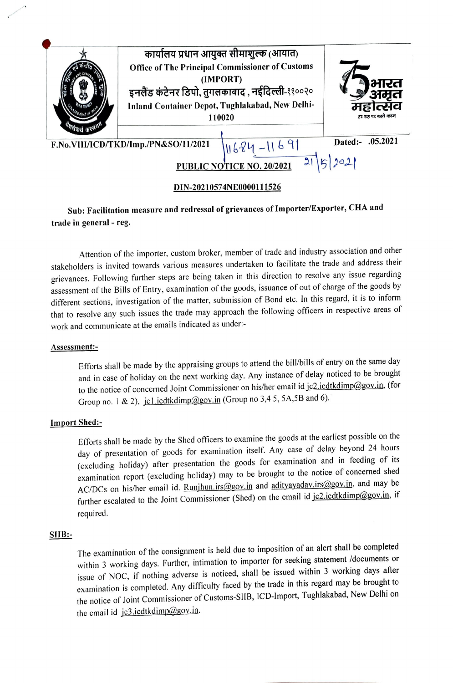

# Sub: Facilitation measure and redressal of grievances of Importer/Exporter, CHA and trade in general - reg.

Attention of the importer, custom broker, member of trade and industry association and other stakeholders is invited towards various measures undertaken to facilitate the trade and address their grievances. Following further steps are being taken in this direction to resolve any issue regarding assessment of the Bills of Entry, examination of the goods, issuance of out of charge of the goods by different sections, investigation of the matter, submission of Bond etc. In this regard, it is to inform that to resolve any such issues the trade may approach the following officers in respective areas of work and communicate at the emails indicated as under:-

## ASsessment:

Efforts shall be made by the appraising groups to attend the bill/bills of entry on the same day and in case of holiday on the next working day. Any instance of delay noticed to be brought to the notice of concerned Joint Commissioner on his/her email id jc2.icdtkdimp@gov.in, (for Group no. 1 & 2), jcl.icdtkdimp@gov.in (Group no 3,4 5, 5A,5B and 6).

# Import Shed:

Efforts shall be made by the Shed officers to examine the goods at the earliest possible on the day of presentation of goods for examination itself. Any case of delay beyond 24 hours (excluding holiday) after presentation the goods for examination and in feeding of its examination report (excluding holiday) may to be brought to the notice of concerned shed AC/DCs on his/her email id. Runjhun.irs@gov.in and adityayadav.irs@gov.in. and may be further escalated to the Joint Commissioner (Shed) on the email id jc2.icdtkdimp@gov.in, if required.

#### SIB:

The examination of the consignment is held due to imposition of an alert shall be completed within 3 working days. Further, intimation to importer for seeking statement /documents or issue of NOC, if nothing adverse is noticed, shall be issued within 3 working days after examination is completed. Any difficulty faced by the trade in this regard may be brought to the notice of Joint Commissioner of Customs-SlIB, ICD-Import, Tughlakabad, New Delhi on the email id jc3.icdtkdimp@gov.in.